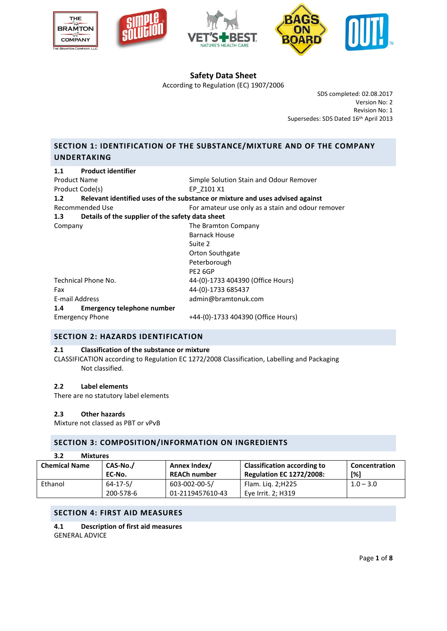







According to Regulation (EC) 1907/2006

SDS completed: 02.08.2017 Version No: 2 Revision No: 1 Supersedes: SDS Dated 16th April 2013

# **SECTION 1: IDENTIFICATION OF THE SUBSTANCE/MIXTURE AND OF THE COMPANY UNDERTAKING**

| <b>Product identifier</b><br>1.1                               |                                                                               |  |
|----------------------------------------------------------------|-------------------------------------------------------------------------------|--|
| <b>Product Name</b><br>Simple Solution Stain and Odour Remover |                                                                               |  |
| Product Code(s)                                                | EP Z101 X1                                                                    |  |
| 1.2                                                            | Relevant identified uses of the substance or mixture and uses advised against |  |
| Recommended Use                                                | For amateur use only as a stain and odour remover                             |  |
| Details of the supplier of the safety data sheet<br>1.3        |                                                                               |  |
| Company                                                        | The Bramton Company                                                           |  |
|                                                                | <b>Barnack House</b>                                                          |  |
|                                                                | Suite 2                                                                       |  |
|                                                                | Orton Southgate                                                               |  |
|                                                                | Peterborough                                                                  |  |
|                                                                | PE2 6GP                                                                       |  |
| Technical Phone No.                                            | 44-(0)-1733 404390 (Office Hours)                                             |  |
| Fax                                                            | 44-(0)-1733 685437                                                            |  |
| E-mail Address                                                 | admin@bramtonuk.com                                                           |  |
| Emergency telephone number<br>1.4                              |                                                                               |  |
| <b>Emergency Phone</b>                                         | +44-(0)-1733 404390 (Office Hours)                                            |  |

## **SECTION 2: HAZARDS IDENTIFICATION**

## **2.1 Classification of the substance or mixture**

CLASSIFICATION according to Regulation EC 1272/2008 Classification, Labelling and Packaging Not classified.

#### **2.2 Label elements**

There are no statutory label elements

#### **2.3 Other hazards**

Mixture not classed as PBT or vPvB

## **SECTION 3: COMPOSITION/INFORMATION ON INGREDIENTS**

| 3.2<br><b>Mixtures</b> |                |                     |                                    |               |
|------------------------|----------------|---------------------|------------------------------------|---------------|
| <b>Chemical Name</b>   | CAS-No./       | Annex Index/        | <b>Classification according to</b> | Concentration |
|                        | EC-No.         | <b>REACh number</b> | <b>Regulation EC 1272/2008:</b>    | [%]           |
| Ethanol                | $64 - 17 - 5/$ | 603-002-00-5/       | Flam. Lig. 2;H225                  | $1.0 - 3.0$   |
|                        | 200-578-6      | 01-2119457610-43    | Eye Irrit. 2; H319                 |               |

## **SECTION 4: FIRST AID MEASURES**

**4.1 Description of first aid measures** GENERAL ADVICE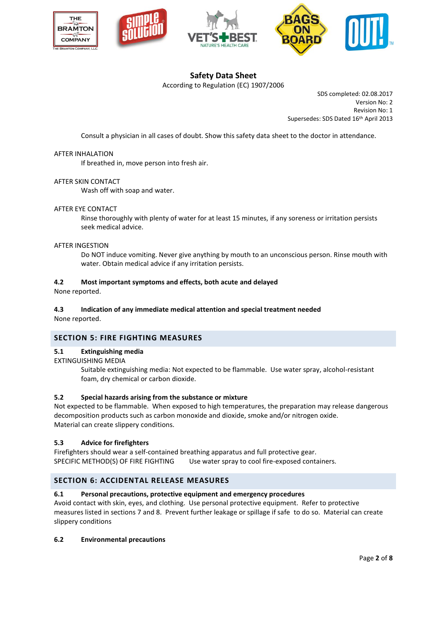







According to Regulation (EC) 1907/2006

SDS completed: 02.08.2017 Version No: 2 Revision No: 1 Supersedes: SDS Dated 16th April 2013

Consult a physician in all cases of doubt. Show this safety data sheet to the doctor in attendance.

#### AFTER INHALATION

If breathed in, move person into fresh air.

#### AFTER SKIN CONTACT

Wash off with soap and water.

#### AFTER EYE CONTACT

Rinse thoroughly with plenty of water for at least 15 minutes, if any soreness or irritation persists seek medical advice.

#### AFTER INGESTION

Do NOT induce vomiting. Never give anything by mouth to an unconscious person. Rinse mouth with water. Obtain medical advice if any irritation persists.

#### **4.2 Most important symptoms and effects, both acute and delayed**

None reported.

## **4.3 Indication of any immediate medical attention and special treatment needed**

None reported.

## **SECTION 5: FIRE FIGHTING MEASURES**

#### **5.1 Extinguishing media**

#### EXTINGUISHING MEDIA

Suitable extinguishing media: Not expected to be flammable. Use water spray, alcohol-resistant foam, dry chemical or carbon dioxide.

#### **5.2 Special hazards arising from the substance or mixture**

Not expected to be flammable. When exposed to high temperatures, the preparation may release dangerous decomposition products such as carbon monoxide and dioxide, smoke and/or nitrogen oxide. Material can create slippery conditions.

#### **5.3 Advice for firefighters**

Firefighters should wear a self-contained breathing apparatus and full protective gear. SPECIFIC METHOD(S) OF FIRE FIGHTING Use water spray to cool fire-exposed containers.

## **SECTION 6: ACCIDENTAL RELEASE MEASURES**

#### **6.1 Personal precautions, protective equipment and emergency procedures**

Avoid contact with skin, eyes, and clothing. Use personal protective equipment. Refer to protective measures listed in sections 7 and 8. Prevent further leakage or spillage if safe to do so. Material can create slippery conditions

#### **6.2 Environmental precautions**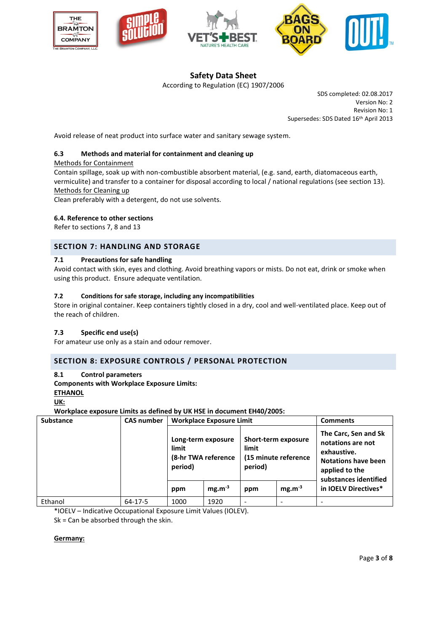







According to Regulation (EC) 1907/2006

SDS completed: 02.08.2017 Version No: 2 Revision No: 1 Supersedes: SDS Dated 16th April 2013

Avoid release of neat product into surface water and sanitary sewage system.

### **6.3 Methods and material for containment and cleaning up**

#### Methods for Containment

Contain spillage, soak up with non-combustible absorbent material, (e.g. sand, earth, diatomaceous earth, vermiculite) and transfer to a container for disposal according to local / national regulations (see section 13). Methods for Cleaning up

Clean preferably with a detergent, do not use solvents.

#### **6.4. Reference to other sections**

Refer to sections 7, 8 and 13

## **SECTION 7: HANDLING AND STORAGE**

### **7.1 Precautions for safe handling**

Avoid contact with skin, eyes and clothing. Avoid breathing vapors or mists. Do not eat, drink or smoke when using this product. Ensure adequate ventilation.

### **7.2 Conditions for safe storage, including any incompatibilities**

Store in original container. Keep containers tightly closed in a dry, cool and well-ventilated place. Keep out of the reach of children.

## **7.3 Specific end use(s)**

For amateur use only as a stain and odour remover.

## **SECTION 8: EXPOSURE CONTROLS / PERSONAL PROTECTION**

#### **8.1 Control parameters**

**Components with Workplace Exposure Limits:** 

**ETHANOL**

**UK:**

**Workplace exposure Limits as defined by UK HSE in document EH40/2005:**

| <b>Substance</b> | <b>CAS number</b> | <b>Workplace Exposure Limit</b>                               |             | <b>Comments</b>                                                 |             |                                                                                                                                   |
|------------------|-------------------|---------------------------------------------------------------|-------------|-----------------------------------------------------------------|-------------|-----------------------------------------------------------------------------------------------------------------------------------|
|                  |                   | Long-term exposure<br>limit<br>(8-hr TWA reference<br>period) |             | Short-term exposure<br>limit<br>(15 minute reference<br>period) |             | The Carc, Sen and Sk<br>notations are not<br>exhaustive.<br><b>Notations have been</b><br>applied to the<br>substances identified |
|                  |                   | ppm                                                           | $mg.m^{-3}$ | ppm                                                             | $mg.m^{-3}$ | in IOELV Directives*                                                                                                              |
| Ethanol          | $64 - 17 - 5$     | 1000                                                          | 1920        |                                                                 |             |                                                                                                                                   |

\*IOELV – Indicative Occupational Exposure Limit Values (IOLEV).

Sk = Can be absorbed through the skin.

#### **Germany:**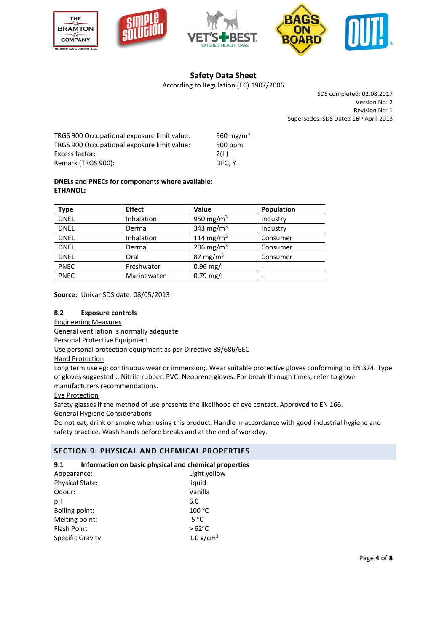







According to Regulation (EC) 1907/2006

SDS completed: 02.08.2017 Version No: 2 Revision No: 1 Supersedes: SDS Dated 16th April 2013

| TRGS 900 Occupational exposure limit value: | 960 mg/m <sup>3</sup> |
|---------------------------------------------|-----------------------|
| TRGS 900 Occupational exposure limit value: | 500 ppm               |
| Excess factor:                              | 2(11)                 |
| Remark (TRGS 900):                          | DFG. Y                |

## **DNELs and PNECs for components where available: ETHANOL:**

| Type        | <b>Effect</b> | Value                 | Population |
|-------------|---------------|-----------------------|------------|
| <b>DNEL</b> | Inhalation    | 950 mg/m <sup>3</sup> | Industry   |
| <b>DNEL</b> | Dermal        | 343 mg/m <sup>3</sup> | Industry   |
| <b>DNEL</b> | Inhalation    | 114 mg/m <sup>3</sup> | Consumer   |
| <b>DNEL</b> | Dermal        | 206 mg/m <sup>3</sup> | Consumer   |
| <b>DNEL</b> | Oral          | 87 mg/m $3$           | Consumer   |
| <b>PNEC</b> | Freshwater    | $0.96$ mg/l           |            |
| <b>PNEC</b> | Marinewater   | $0.79$ mg/l           |            |

**Source:** Univar SDS date: 08/05/2013

## **8.2 Exposure controls**

Engineering Measures

General ventilation is normally adequate

Personal Protective Equipment

Use personal protection equipment as per Directive 89/686/EEC

Hand Protection

Long term use eg: continuous wear or immersion;. Wear suitable protective gloves conforming to EN 374. Type of gloves suggested :. Nitrile rubber. PVC. Neoprene gloves. For break through times, refer to glove manufacturers recommendations.

Eye Protection

Safety glasses if the method of use presents the likelihood of eye contact. Approved to EN 166.

General Hygiene Considerations

Do not eat, drink or smoke when using this product. Handle in accordance with good industrial hygiene and safety practice. Wash hands before breaks and at the end of workday.

## **SECTION 9: PHYSICAL AND CHEMICAL PROPERTIES**

## **9.1 Information on basic physical and chemical properties**

| Appearance:             | Light yellow    |
|-------------------------|-----------------|
| Physical State:         | liquid          |
| Odour:                  | Vanilla         |
| рH                      | 6.0             |
| Boiling point:          | 100 °C          |
| Melting point:          | $-5^{\circ}$ C  |
| <b>Flash Point</b>      | $>62^{\circ}$ C |
| <b>Specific Gravity</b> | 1.0 $g/cm^{3}$  |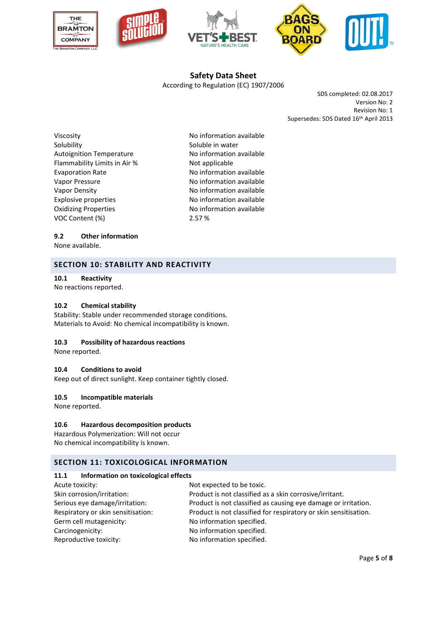







## **Safety Data Sheet** According to Regulation (EC) 1907/2006

SDS completed: 02.08.2017 Version No: 2 Revision No: 1 Supersedes: SDS Dated 16th April 2013

Viscosity **No information available** Solubility Soluble in water Autoignition Temperature No information available Flammability Limits in Air % Not applicable Evaporation Rate Noinformation available Vapor Pressure **No information available** Vapor Density **No information available** Explosive properties No information available Oxidizing Properties **No information available** VOC Content (%) 2.57 %

### **9.2 Other information**

None available.

## **SECTION 10: STABILITY AND REACTIVITY**

### **10.1 Reactivity**

No reactions reported.

#### **10.2 Chemical stability**

Stability: Stable under recommended storage conditions. Materials to Avoid: No chemical incompatibility is known.

#### **10.3 Possibility of hazardous reactions**

None reported.

#### **10.4 Conditions to avoid**

Keep out of direct sunlight. Keep container tightly closed.

#### **10.5 Incompatible materials**

None reported.

#### **10.6 Hazardous decomposition products**

Hazardous Polymerization: Will not occur No chemical incompatibility is known.

## **SECTION 11: TOXICOLOGICAL INFORMATION**

#### **11.1 Information on toxicological effects**

| Acute toxicity:                    | Not expected to be toxic.                                        |
|------------------------------------|------------------------------------------------------------------|
| Skin corrosion/irritation:         | Product is not classified as a skin corrosive/irritant.          |
| Serious eye damage/irritation:     | Product is not classified as causing eye damage or irritation.   |
| Respiratory or skin sensitisation: | Product is not classified for respiratory or skin sensitisation. |
| Germ cell mutagenicity:            | No information specified.                                        |
| Carcinogenicity:                   | No information specified.                                        |
| Reproductive toxicity:             | No information specified.                                        |
|                                    |                                                                  |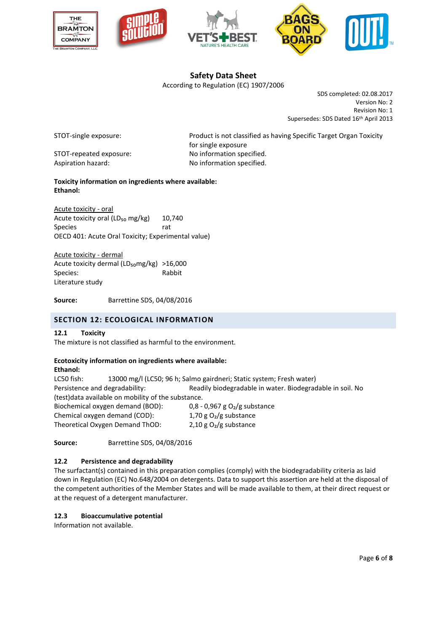







According to Regulation (EC) 1907/2006

SDS completed: 02.08.2017 Version No: 2 Revision No: 1 Supersedes: SDS Dated 16th April 2013

STOT-repeated exposure: No information specified. Aspiration hazard: No information specified.

STOT-single exposure: Product is not classified as having Specific Target Organ Toxicity for single exposure

## **Toxicity information on ingredients where available: Ethanol:**

Acute toxicity - oral Acute toxicity oral ( $LD_{50}$  mg/kg) 10,740 Species and the state of the state rate OECD 401: Acute Oral Toxicity; Experimental value)

Acute toxicity - dermal Acute toxicity dermal (LD<sub>50</sub>mg/kg) >16,000 Species: Rabbit Literature study

**Source:** Barrettine SDS, 04/08/2016

## **SECTION 12: ECOLOGICAL INFORMATION**

## **12.1 Toxicity**

The mixture is not classified as harmful to the environment.

## **Ecotoxicity information on ingredients where available:**

#### **Ethanol:**

LC50 fish: 13000 mg/l (LC50; 96 h; Salmo gairdneri; Static system; Fresh water) Persistence and degradability: Readily biodegradable in water. Biodegradable in soil. No (test)data available on mobility of the substance. Biochemical oxygen demand (BOD): 0.8 - 0.967 g O<sub>2</sub>/g substance

| <b>PIOCHCHILGH OXYGCH GCHIGHG (POD).</b> | 0,0,0,0,0,0,0,0          |
|------------------------------------------|--------------------------|
| Chemical oxygen demand (COD):            | 1,70 g $O_2/g$ substance |
| Theoretical Oxygen Demand ThOD:          | 2,10 g $O2/g$ substance  |

**Source:** Barrettine SDS, 04/08/2016

## **12.2 Persistence and degradability**

The surfactant(s) contained in this preparation complies (comply) with the biodegradability criteria as laid down in Regulation (EC) No.648/2004 on detergents. Data to support this assertion are held at the disposal of the competent authorities of the Member States and will be made available to them, at their direct request or at the request of a detergent manufacturer.

## **12.3 Bioaccumulative potential**

Information not available.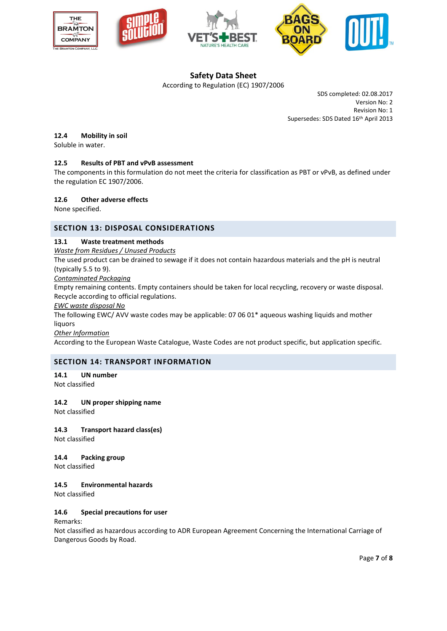







According to Regulation (EC) 1907/2006

SDS completed: 02.08.2017 Version No: 2 Revision No: 1 Supersedes: SDS Dated 16th April 2013

### **12.4 Mobility in soil**

Soluble in water.

### **12.5 Results of PBT and vPvB assessment**

The components in this formulation do not meet the criteria for classification as PBT or vPvB, as defined under the regulation EC 1907/2006.

#### **12.6 Other adverse effects**

None specified.

### **SECTION 13: DISPOSAL CONSIDERATIONS**

#### **13.1 Waste treatment methods**

*Waste from Residues / Unused Products*

The used product can be drained to sewage if it does not contain hazardous materials and the pH is neutral (typically 5.5 to 9).

*Contaminated Packaging*

Empty remaining contents. Empty containers should be taken for local recycling, recovery or waste disposal. Recycle according to official regulations.

*EWC waste disposal No*

The following EWC/ AVV waste codes may be applicable: 07 06 01\* aqueous washing liquids and mother liquors

*Other Information*

According to the European Waste Catalogue, Waste Codes are not product specific, but application specific.

#### **SECTION 14: TRANSPORT INFORMATION**

**14.1 UN number** Not classified

#### **14.2 UN proper shipping name**

Not classified

## **14.3 Transport hazard class(es)**

Not classified

## **14.4 Packing group**

Not classified

#### **14.5 Environmental hazards**

Not classified

#### **14.6 Special precautions for user**

Remarks:

Not classified as hazardous according to ADR European Agreement Concerning the International Carriage of Dangerous Goods by Road.